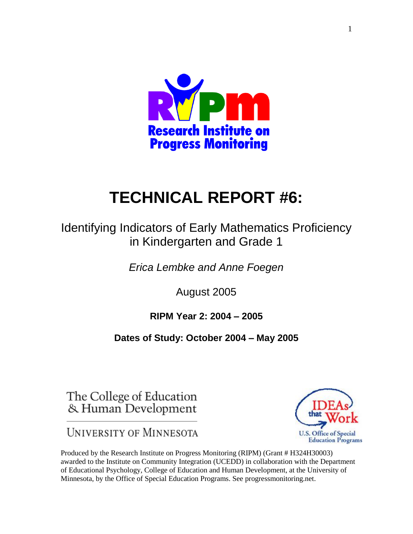

# **TECHNICAL REPORT #6:**

# Identifying Indicators of Early Mathematics Proficiency in Kindergarten and Grade 1

*Erica Lembke and Anne Foegen*

August 2005

# **RIPM Year 2: 2004 – 2005**

# **Dates of Study: October 2004 – May 2005**

The College of Education & Human Development

UNIVERSITY OF MINNESOTA



Produced by the Research Institute on Progress Monitoring (RIPM) (Grant # H324H30003) awarded to the Institute on Community Integration (UCEDD) in collaboration with the Department of Educational Psychology, College of Education and Human Development, at the University of Minnesota, by the Office of Special Education Programs. See progressmonitoring.net.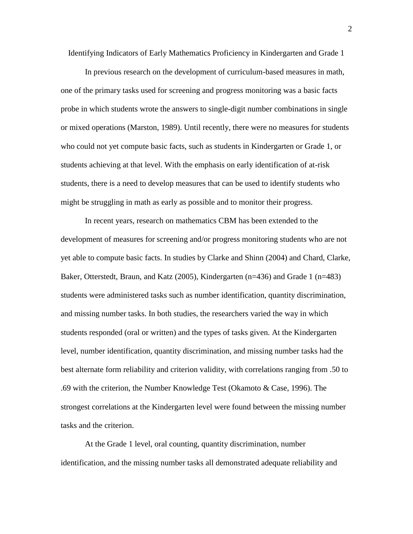Identifying Indicators of Early Mathematics Proficiency in Kindergarten and Grade 1

In previous research on the development of curriculum-based measures in math, one of the primary tasks used for screening and progress monitoring was a basic facts probe in which students wrote the answers to single-digit number combinations in single or mixed operations (Marston, 1989). Until recently, there were no measures for students who could not yet compute basic facts, such as students in Kindergarten or Grade 1, or students achieving at that level. With the emphasis on early identification of at-risk students, there is a need to develop measures that can be used to identify students who might be struggling in math as early as possible and to monitor their progress.

In recent years, research on mathematics CBM has been extended to the development of measures for screening and/or progress monitoring students who are not yet able to compute basic facts. In studies by Clarke and Shinn (2004) and Chard, Clarke, Baker, Otterstedt, Braun, and Katz (2005), Kindergarten (n=436) and Grade 1 (n=483) students were administered tasks such as number identification, quantity discrimination, and missing number tasks. In both studies, the researchers varied the way in which students responded (oral or written) and the types of tasks given. At the Kindergarten level, number identification, quantity discrimination, and missing number tasks had the best alternate form reliability and criterion validity, with correlations ranging from .50 to .69 with the criterion, the Number Knowledge Test (Okamoto & Case, 1996). The strongest correlations at the Kindergarten level were found between the missing number tasks and the criterion.

At the Grade 1 level, oral counting, quantity discrimination, number identification, and the missing number tasks all demonstrated adequate reliability and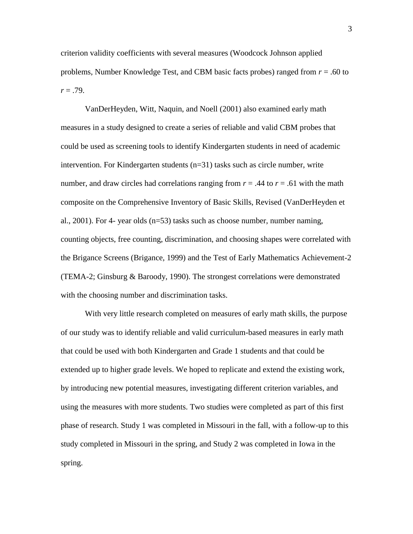criterion validity coefficients with several measures (Woodcock Johnson applied problems, Number Knowledge Test, and CBM basic facts probes) ranged from *r* = .60 to *r* = .79.

VanDerHeyden, Witt, Naquin, and Noell (2001) also examined early math measures in a study designed to create a series of reliable and valid CBM probes that could be used as screening tools to identify Kindergarten students in need of academic intervention. For Kindergarten students (n=31) tasks such as circle number, write number, and draw circles had correlations ranging from  $r = .44$  to  $r = .61$  with the math composite on the Comprehensive Inventory of Basic Skills, Revised (VanDerHeyden et al., 2001). For 4- year olds  $(n=53)$  tasks such as choose number, number naming, counting objects, free counting, discrimination, and choosing shapes were correlated with the Brigance Screens (Brigance, 1999) and the Test of Early Mathematics Achievement-2 (TEMA-2; Ginsburg & Baroody, 1990). The strongest correlations were demonstrated with the choosing number and discrimination tasks.

With very little research completed on measures of early math skills, the purpose of our study was to identify reliable and valid curriculum-based measures in early math that could be used with both Kindergarten and Grade 1 students and that could be extended up to higher grade levels. We hoped to replicate and extend the existing work, by introducing new potential measures, investigating different criterion variables, and using the measures with more students. Two studies were completed as part of this first phase of research. Study 1 was completed in Missouri in the fall, with a follow-up to this study completed in Missouri in the spring, and Study 2 was completed in Iowa in the spring.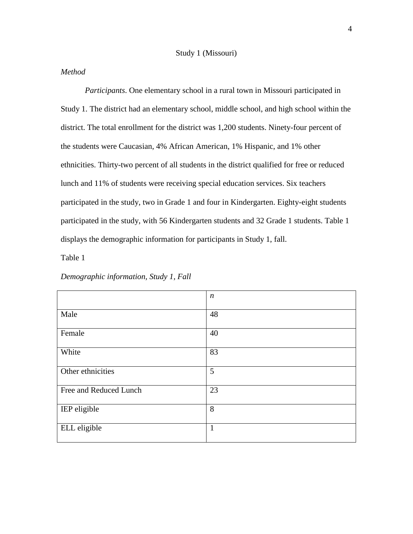#### Study 1 (Missouri)

#### *Method*

*Participants*. One elementary school in a rural town in Missouri participated in Study 1. The district had an elementary school, middle school, and high school within the district. The total enrollment for the district was 1,200 students. Ninety-four percent of the students were Caucasian, 4% African American, 1% Hispanic, and 1% other ethnicities. Thirty-two percent of all students in the district qualified for free or reduced lunch and 11% of students were receiving special education services. Six teachers participated in the study, two in Grade 1 and four in Kindergarten. Eighty-eight students participated in the study, with 56 Kindergarten students and 32 Grade 1 students. Table 1 displays the demographic information for participants in Study 1, fall.

Table 1

|                        | $\boldsymbol{n}$ |
|------------------------|------------------|
| Male                   | 48               |
| Female                 | 40               |
| White                  | 83               |
| Other ethnicities      | 5                |
| Free and Reduced Lunch | 23               |
| IEP eligible           | 8                |
| ELL eligible           | $\mathbf{1}$     |

*Demographic information, Study 1, Fall*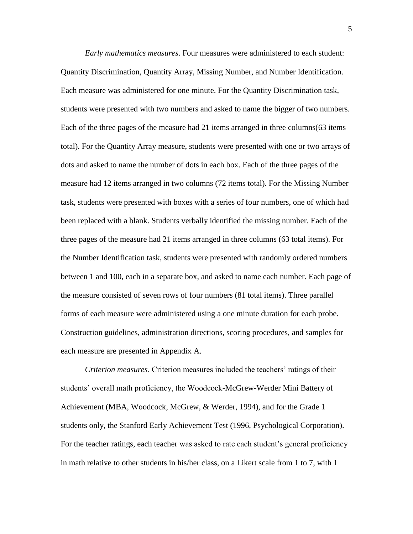*Early mathematics measures*. Four measures were administered to each student: Quantity Discrimination, Quantity Array, Missing Number, and Number Identification. Each measure was administered for one minute. For the Quantity Discrimination task, students were presented with two numbers and asked to name the bigger of two numbers. Each of the three pages of the measure had 21 items arranged in three columns(63 items total). For the Quantity Array measure, students were presented with one or two arrays of dots and asked to name the number of dots in each box. Each of the three pages of the measure had 12 items arranged in two columns (72 items total). For the Missing Number task, students were presented with boxes with a series of four numbers, one of which had been replaced with a blank. Students verbally identified the missing number. Each of the three pages of the measure had 21 items arranged in three columns (63 total items). For the Number Identification task, students were presented with randomly ordered numbers between 1 and 100, each in a separate box, and asked to name each number. Each page of the measure consisted of seven rows of four numbers (81 total items). Three parallel forms of each measure were administered using a one minute duration for each probe. Construction guidelines, administration directions, scoring procedures, and samples for each measure are presented in Appendix A.

*Criterion measures*. Criterion measures included the teachers' ratings of their students' overall math proficiency, the Woodcock-McGrew-Werder Mini Battery of Achievement (MBA, Woodcock, McGrew, & Werder, 1994), and for the Grade 1 students only, the Stanford Early Achievement Test (1996, Psychological Corporation). For the teacher ratings, each teacher was asked to rate each student's general proficiency in math relative to other students in his/her class, on a Likert scale from 1 to 7, with 1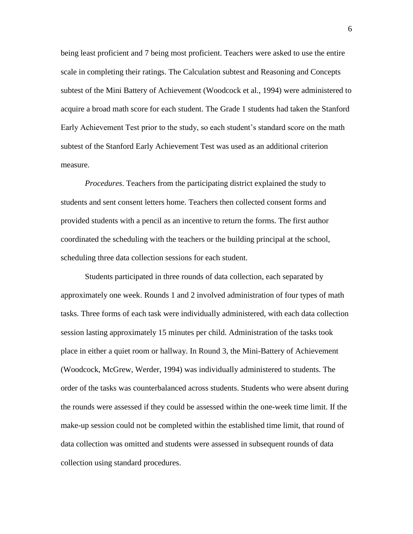being least proficient and 7 being most proficient. Teachers were asked to use the entire scale in completing their ratings. The Calculation subtest and Reasoning and Concepts subtest of the Mini Battery of Achievement (Woodcock et al., 1994) were administered to acquire a broad math score for each student. The Grade 1 students had taken the Stanford Early Achievement Test prior to the study, so each student's standard score on the math subtest of the Stanford Early Achievement Test was used as an additional criterion measure.

*Procedures*. Teachers from the participating district explained the study to students and sent consent letters home. Teachers then collected consent forms and provided students with a pencil as an incentive to return the forms. The first author coordinated the scheduling with the teachers or the building principal at the school, scheduling three data collection sessions for each student.

Students participated in three rounds of data collection, each separated by approximately one week. Rounds 1 and 2 involved administration of four types of math tasks. Three forms of each task were individually administered, with each data collection session lasting approximately 15 minutes per child. Administration of the tasks took place in either a quiet room or hallway. In Round 3, the Mini-Battery of Achievement (Woodcock, McGrew, Werder, 1994) was individually administered to students. The order of the tasks was counterbalanced across students. Students who were absent during the rounds were assessed if they could be assessed within the one-week time limit. If the make-up session could not be completed within the established time limit, that round of data collection was omitted and students were assessed in subsequent rounds of data collection using standard procedures.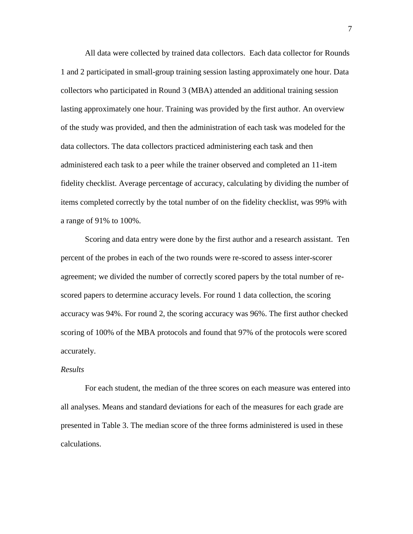All data were collected by trained data collectors. Each data collector for Rounds 1 and 2 participated in small-group training session lasting approximately one hour. Data collectors who participated in Round 3 (MBA) attended an additional training session lasting approximately one hour. Training was provided by the first author. An overview of the study was provided, and then the administration of each task was modeled for the data collectors. The data collectors practiced administering each task and then administered each task to a peer while the trainer observed and completed an 11-item fidelity checklist. Average percentage of accuracy, calculating by dividing the number of items completed correctly by the total number of on the fidelity checklist, was 99% with a range of 91% to 100%.

Scoring and data entry were done by the first author and a research assistant. Ten percent of the probes in each of the two rounds were re-scored to assess inter-scorer agreement; we divided the number of correctly scored papers by the total number of rescored papers to determine accuracy levels. For round 1 data collection, the scoring accuracy was 94%. For round 2, the scoring accuracy was 96%. The first author checked scoring of 100% of the MBA protocols and found that 97% of the protocols were scored accurately.

#### *Results*

For each student, the median of the three scores on each measure was entered into all analyses. Means and standard deviations for each of the measures for each grade are presented in Table 3. The median score of the three forms administered is used in these calculations.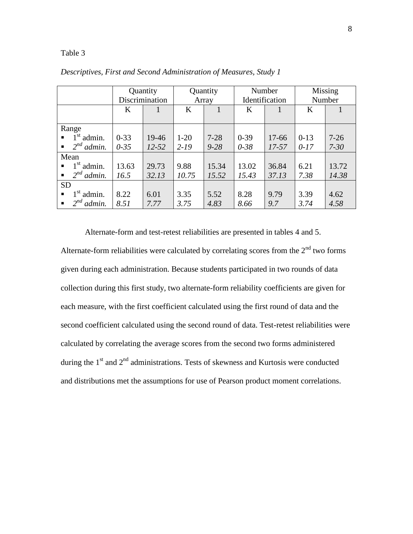|                                      |          | Quantity       |        | Quantity |          | Number         |        | Missing  |
|--------------------------------------|----------|----------------|--------|----------|----------|----------------|--------|----------|
|                                      |          | Discrimination |        | Array    |          | Identification |        | Number   |
|                                      | K        |                | K      | 1        | K        |                | K      |          |
|                                      |          |                |        |          |          |                |        |          |
| Range                                |          |                |        |          |          |                |        |          |
| $1st$ admin.<br>$\blacksquare$       | $0 - 33$ | 19-46          | $1-20$ | $7 - 28$ | $0 - 39$ | 17-66          | $0-13$ | $7-26$   |
| $2^{nd}$ admin.<br>$\blacksquare$    | $0 - 35$ | $12 - 52$      | $2-19$ | $9 - 28$ | $0 - 38$ | $17 - 57$      | $0-17$ | $7 - 30$ |
| Mean                                 |          |                |        |          |          |                |        |          |
| $1st$ admin.<br>$\blacksquare$       | 13.63    | 29.73          | 9.88   | 15.34    | 13.02    | 36.84          | 6.21   | 13.72    |
| $\bullet$ 2 <sup>nd</sup> admin.     | 16.5     | 32.13          | 10.75  | 15.52    | 15.43    | 37.13          | 7.38   | 14.38    |
| <b>SD</b>                            |          |                |        |          |          |                |        |          |
| $1st$ admin.<br>$\blacksquare$       | 8.22     | 6.01           | 3.35   | 5.52     | 8.28     | 9.79           | 3.39   | 4.62     |
| $2^{nd}$<br>admin.<br>$\blacksquare$ | 8.51     | 7.77           | 3.75   | 4.83     | 8.66     | 9.7            | 3.74   | 4.58     |

*Descriptives, First and Second Administration of Measures, Study 1*

Alternate-form and test-retest reliabilities are presented in tables 4 and 5.

Alternate-form reliabilities were calculated by correlating scores from the  $2<sup>nd</sup>$  two forms given during each administration. Because students participated in two rounds of data collection during this first study, two alternate-form reliability coefficients are given for each measure, with the first coefficient calculated using the first round of data and the second coefficient calculated using the second round of data. Test-retest reliabilities were calculated by correlating the average scores from the second two forms administered during the 1<sup>st</sup> and 2<sup>nd</sup> administrations. Tests of skewness and Kurtosis were conducted and distributions met the assumptions for use of Pearson product moment correlations.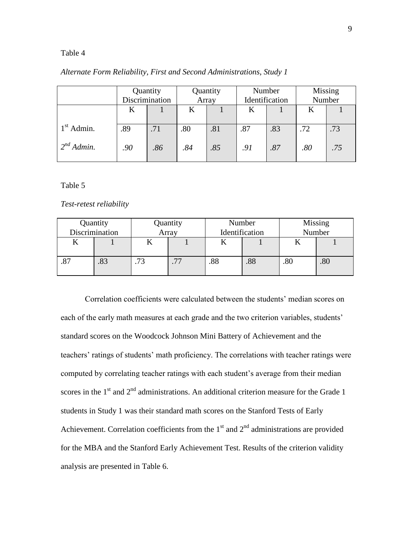|                 |     | Quantity<br>Quantity<br>Discrimination<br>Array |     |     | Number<br>Identification |     | Missing<br>Number |     |
|-----------------|-----|-------------------------------------------------|-----|-----|--------------------------|-----|-------------------|-----|
|                 | K   |                                                 | K   |     | K                        |     | K                 |     |
| $1st$ Admin.    | .89 | .71                                             | .80 | .81 | .87                      | .83 | .72               | .73 |
| $2^{nd}$ Admin. | .90 | .86                                             | .84 | .85 | .91                      | .87 | $.80\,$           | .75 |

#### *Alternate Form Reliability, First and Second Administrations, Study 1*

#### Table 5

#### *Test-retest reliability*

| Quantity<br>Discrimination |                          | Quantity<br>Array |     | Number<br>Identification |     | Missing<br>Number |
|----------------------------|--------------------------|-------------------|-----|--------------------------|-----|-------------------|
|                            |                          |                   |     |                          |     |                   |
| .03                        | $\overline{\phantom{a}}$ | .77               | .88 | .88                      | .80 | .80               |

Correlation coefficients were calculated between the students' median scores on each of the early math measures at each grade and the two criterion variables, students' standard scores on the Woodcock Johnson Mini Battery of Achievement and the teachers' ratings of students' math proficiency. The correlations with teacher ratings were computed by correlating teacher ratings with each student's average from their median scores in the  $1<sup>st</sup>$  and  $2<sup>nd</sup>$  administrations. An additional criterion measure for the Grade 1 students in Study 1 was their standard math scores on the Stanford Tests of Early Achievement. Correlation coefficients from the  $1<sup>st</sup>$  and  $2<sup>nd</sup>$  administrations are provided for the MBA and the Stanford Early Achievement Test. Results of the criterion validity analysis are presented in Table 6.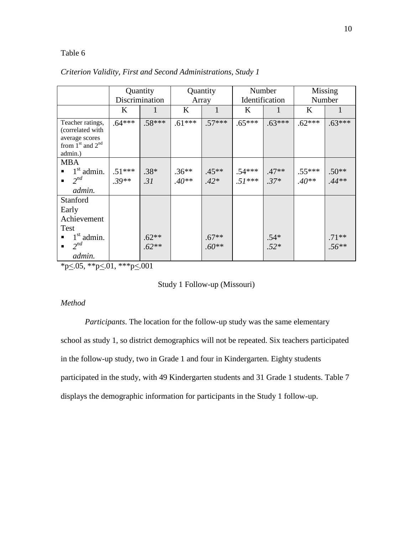|                                                                                                                                                                   |                     | Quantity                   |                    | Quantity           |                      | Number           |                     | Missing            |
|-------------------------------------------------------------------------------------------------------------------------------------------------------------------|---------------------|----------------------------|--------------------|--------------------|----------------------|------------------|---------------------|--------------------|
|                                                                                                                                                                   |                     | Discrimination             |                    | Array              |                      | Identification   |                     | Number             |
|                                                                                                                                                                   | K                   | $\mathbf{1}$               | K                  | $\mathbf{1}$       | K                    | $\mathbf{1}$     | $\bf K$             | 1                  |
| Teacher ratings,<br>(correlated with<br>average scores<br>from $1st$ and $2nd$<br>admin.)                                                                         | $.64***$            | $.58***$                   | $.61***$           | $.57***$           | $.65***$             | $.63***$         | $.62***$            | $.63***$           |
| <b>MBA</b><br>$1st$ admin.<br>$\blacksquare$<br>$2^{nd}$<br>$\blacksquare$<br>admin.                                                                              | $.51***$<br>$.39**$ | $.38*$<br>.31              | $.36**$<br>$.40**$ | $.45**$<br>$.42*$  | $.54***$<br>$.51***$ | $.47**$<br>$37*$ | $.55***$<br>$.40**$ | $.50**$<br>$.44**$ |
| Stanford<br>Early<br>Achievement<br>Test<br>$1st$ admin.<br>$\blacksquare$<br>$2^{nd}$<br>$\blacksquare$<br>admin.<br>$\mathbf{r} = \mathbf{r} \times \mathbf{r}$ | ملاملا الأذكار      | $.62**$<br>$.62**$<br>0.01 |                    | $.67**$<br>$.60**$ |                      | $.54*$<br>$.52*$ |                     | $.71**$<br>$.56**$ |

### *Criterion Validity, First and Second Administrations, Study 1*

\*p $\leq$ .05, \*\*p $\leq$ .01, \*\*\*p $\leq$ .001

### Study 1 Follow-up (Missouri)

#### *Method*

*Participants*. The location for the follow-up study was the same elementary school as study 1, so district demographics will not be repeated. Six teachers participated in the follow-up study, two in Grade 1 and four in Kindergarten. Eighty students participated in the study, with 49 Kindergarten students and 31 Grade 1 students. Table 7 displays the demographic information for participants in the Study 1 follow-up.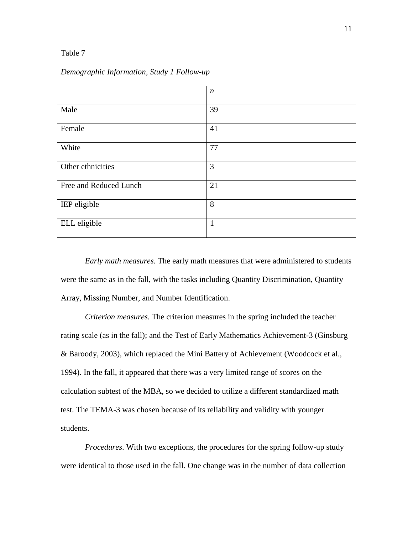#### *Demographic Information, Study 1 Follow-up*

|                        | $\boldsymbol{n}$ |
|------------------------|------------------|
| Male                   | 39               |
| Female                 | 41               |
| White                  | 77               |
| Other ethnicities      | 3                |
| Free and Reduced Lunch | 21               |
| IEP eligible           | 8                |
| ELL eligible           | $\mathbf{1}$     |

*Early math measures*. The early math measures that were administered to students were the same as in the fall, with the tasks including Quantity Discrimination, Quantity Array, Missing Number, and Number Identification.

*Criterion measures*. The criterion measures in the spring included the teacher rating scale (as in the fall); and the Test of Early Mathematics Achievement-3 (Ginsburg & Baroody, 2003), which replaced the Mini Battery of Achievement (Woodcock et al., 1994). In the fall, it appeared that there was a very limited range of scores on the calculation subtest of the MBA, so we decided to utilize a different standardized math test. The TEMA-3 was chosen because of its reliability and validity with younger students.

*Procedures*. With two exceptions, the procedures for the spring follow-up study were identical to those used in the fall. One change was in the number of data collection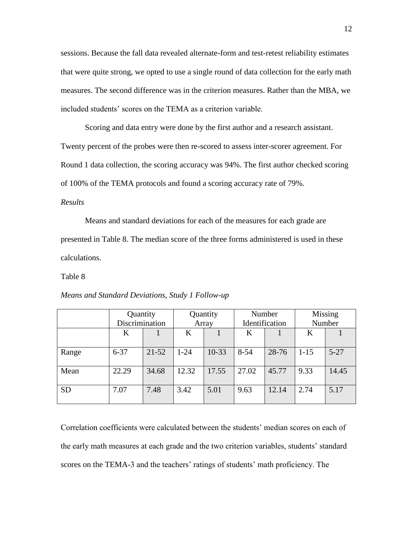sessions. Because the fall data revealed alternate-form and test-retest reliability estimates that were quite strong, we opted to use a single round of data collection for the early math measures. The second difference was in the criterion measures. Rather than the MBA, we included students' scores on the TEMA as a criterion variable.

Scoring and data entry were done by the first author and a research assistant. Twenty percent of the probes were then re-scored to assess inter-scorer agreement. For Round 1 data collection, the scoring accuracy was 94%. The first author checked scoring of 100% of the TEMA protocols and found a scoring accuracy rate of 79%.

#### *Results*

Means and standard deviations for each of the measures for each grade are presented in Table 8. The median score of the three forms administered is used in these calculations.

#### Table 8

|           | Quantity<br>Discrimination |           | Quantity<br>Array |           | Number<br>Identification |       | Missing<br>Number |          |
|-----------|----------------------------|-----------|-------------------|-----------|--------------------------|-------|-------------------|----------|
|           | K                          |           | K                 |           | K                        |       | K                 |          |
| Range     | $6 - 37$                   | $21 - 52$ | $1 - 24$          | $10 - 33$ | $8 - 54$                 | 28-76 | $1 - 15$          | $5 - 27$ |
| Mean      | 22.29                      | 34.68     | 12.32             | 17.55     | 27.02                    | 45.77 | 9.33              | 14.45    |
| <b>SD</b> | 7.07                       | 7.48      | 3.42              | 5.01      | 9.63                     | 12.14 | 2.74              | 5.17     |

*Means and Standard Deviations, Study 1 Follow-up*

Correlation coefficients were calculated between the students' median scores on each of the early math measures at each grade and the two criterion variables, students' standard scores on the TEMA-3 and the teachers' ratings of students' math proficiency. The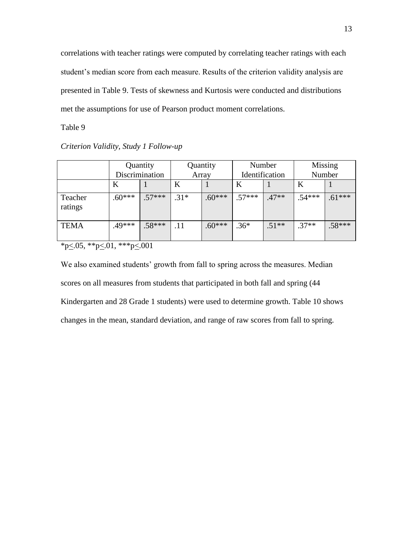correlations with teacher ratings were computed by correlating teacher ratings with each student's median score from each measure. Results of the criterion validity analysis are presented in Table 9. Tests of skewness and Kurtosis were conducted and distributions met the assumptions for use of Pearson product moment correlations.

Table 9

#### *Criterion Validity, Study 1 Follow-up*

|                    |          | Quantity<br>Discrimination | Quantity<br>Array |          | Number<br>Identification |         | Missing<br>Number |          |
|--------------------|----------|----------------------------|-------------------|----------|--------------------------|---------|-------------------|----------|
|                    | K        |                            | K                 |          | Κ                        |         | Κ                 |          |
| Teacher<br>ratings | $.60***$ | $.57***$                   | $.31*$            | $.60***$ | $.57***$                 | $.47**$ | $.54***$          | $.61***$ |
| <b>TEMA</b>        | $.49***$ | $.58***$                   | .11               | $.60***$ | $.36*$                   | $.51**$ | $.37**$           | $.58***$ |

 $*p \leq 0.05$ ,  $*p \leq 0.01$ ,  $**p \leq 0.001$ 

We also examined students' growth from fall to spring across the measures. Median scores on all measures from students that participated in both fall and spring (44 Kindergarten and 28 Grade 1 students) were used to determine growth. Table 10 shows changes in the mean, standard deviation, and range of raw scores from fall to spring.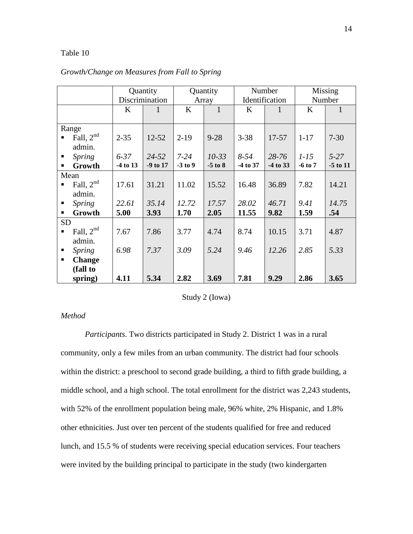|                                  |          | Quantity       |           | Quantity     |          | Number         |             | Missing      |
|----------------------------------|----------|----------------|-----------|--------------|----------|----------------|-------------|--------------|
|                                  |          | Discrimination |           | Array        |          | Identification |             | Number       |
|                                  | K        |                | $\bf K$   | $\mathbf{1}$ | $\bf K$  |                | K           |              |
|                                  |          |                |           |              |          |                |             |              |
| Range                            |          |                |           |              |          |                |             |              |
| Fall, $2nd$                      | $2 - 35$ | $12 - 52$      | $2-19$    | $9 - 28$     | $3 - 38$ | 17-57          | $1 - 17$    | $7 - 30$     |
| admin.                           |          |                |           |              |          |                |             |              |
| <b>Spring</b><br>п               | $6 - 37$ | $24 - 52$      | $7 - 24$  | $10 - 33$    | $8 - 54$ | $28 - 76$      | $1-15$      | $5 - 27$     |
| Growth<br>$\blacksquare$         | -4 to 13 | -9 to 17       | $-3$ to 9 | $-5$ to $8$  | -4 to 37 | -4 to 33       | $-6$ to $7$ | $-5$ to $11$ |
| Mean                             |          |                |           |              |          |                |             |              |
| Fall, $2^{nd}$                   | 17.61    | 31.21          | 11.02     | 15.52        | 16.48    | 36.89          | 7.82        | 14.21        |
| admin.                           |          |                |           |              |          |                |             |              |
| <i>Spring</i><br>п               | 22.61    | 35.14          | 12.72     | 17.57        | 28.02    | 46.71          | 9.41        | 14.75        |
| Growth<br>٠                      | 5.00     | 3.93           | 1.70      | 2.05         | 11.55    | 9.82           | 1.59        | .54          |
| <b>SD</b>                        |          |                |           |              |          |                |             |              |
| Fall, $2^{nd}$<br>$\blacksquare$ | 7.67     | 7.86           | 3.77      | 4.74         | 8.74     | 10.15          | 3.71        | 4.87         |
| admin.                           |          |                |           |              |          |                |             |              |
| <i>Spring</i><br>п               | 6.98     | 7.37           | 3.09      | 5.24         | 9.46     | 12.26          | 2.85        | 5.33         |
| <b>Change</b><br>$\blacksquare$  |          |                |           |              |          |                |             |              |
| (fall to                         |          |                |           |              |          |                |             |              |
| spring)                          | 4.11     | 5.34           | 2.82      | 3.69         | 7.81     | 9.29           | 2.86        | 3.65         |

#### *Growth/Change on Measures from Fall to Spring*

#### Study 2 (Iowa)

### *Method*

*Participants*. Two districts participated in Study 2. District 1 was in a rural community, only a few miles from an urban community. The district had four schools within the district: a preschool to second grade building, a third to fifth grade building, a middle school, and a high school. The total enrollment for the district was 2,243 students, with 52% of the enrollment population being male, 96% white, 2% Hispanic, and 1.8% other ethnicities. Just over ten percent of the students qualified for free and reduced lunch, and 15.5 % of students were receiving special education services. Four teachers were invited by the building principal to participate in the study (two kindergarten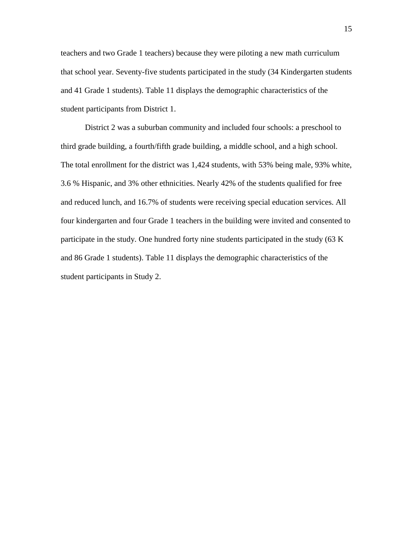teachers and two Grade 1 teachers) because they were piloting a new math curriculum that school year. Seventy-five students participated in the study (34 Kindergarten students and 41 Grade 1 students). Table 11 displays the demographic characteristics of the student participants from District 1.

District 2 was a suburban community and included four schools: a preschool to third grade building, a fourth/fifth grade building, a middle school, and a high school. The total enrollment for the district was 1,424 students, with 53% being male, 93% white, 3.6 % Hispanic, and 3% other ethnicities. Nearly 42% of the students qualified for free and reduced lunch, and 16.7% of students were receiving special education services. All four kindergarten and four Grade 1 teachers in the building were invited and consented to participate in the study. One hundred forty nine students participated in the study (63 K and 86 Grade 1 students). Table 11 displays the demographic characteristics of the student participants in Study 2.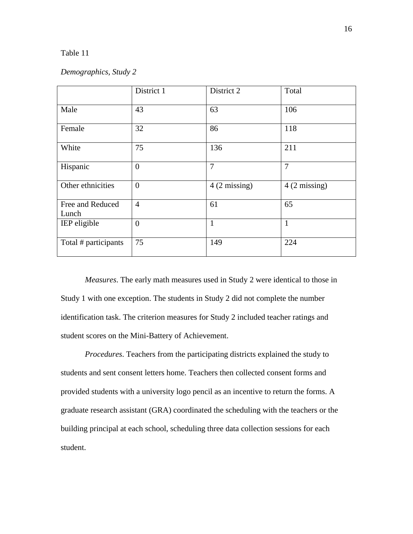#### *Demographics, Study 2*

|                           | District 1     | District 2             | Total                  |
|---------------------------|----------------|------------------------|------------------------|
| Male                      | 43             | 63                     | 106                    |
| Female                    | 32             | 86                     | 118                    |
| White                     | 75             | 136                    | 211                    |
| Hispanic                  | $\overline{0}$ | $\overline{7}$         | $\overline{7}$         |
| Other ethnicities         | $\mathbf{0}$   | $4(2 \text{ missing})$ | $4(2 \text{ missing})$ |
| Free and Reduced<br>Lunch | $\overline{4}$ | 61                     | 65                     |
| IEP eligible              | $\mathbf{0}$   | $\mathbf{1}$           | $\mathbf{1}$           |
| Total # participants      | 75             | 149                    | 224                    |

*Measures*. The early math measures used in Study 2 were identical to those in Study 1 with one exception. The students in Study 2 did not complete the number identification task. The criterion measures for Study 2 included teacher ratings and student scores on the Mini-Battery of Achievement.

*Procedures*. Teachers from the participating districts explained the study to students and sent consent letters home. Teachers then collected consent forms and provided students with a university logo pencil as an incentive to return the forms. A graduate research assistant (GRA) coordinated the scheduling with the teachers or the building principal at each school, scheduling three data collection sessions for each student.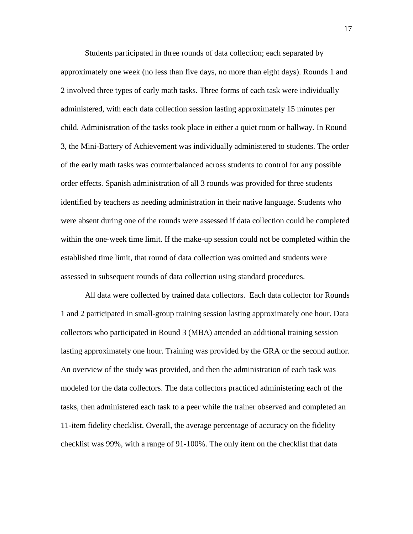Students participated in three rounds of data collection; each separated by approximately one week (no less than five days, no more than eight days). Rounds 1 and 2 involved three types of early math tasks. Three forms of each task were individually administered, with each data collection session lasting approximately 15 minutes per child. Administration of the tasks took place in either a quiet room or hallway. In Round 3, the Mini-Battery of Achievement was individually administered to students. The order of the early math tasks was counterbalanced across students to control for any possible order effects. Spanish administration of all 3 rounds was provided for three students identified by teachers as needing administration in their native language. Students who were absent during one of the rounds were assessed if data collection could be completed within the one-week time limit. If the make-up session could not be completed within the established time limit, that round of data collection was omitted and students were assessed in subsequent rounds of data collection using standard procedures.

All data were collected by trained data collectors. Each data collector for Rounds 1 and 2 participated in small-group training session lasting approximately one hour. Data collectors who participated in Round 3 (MBA) attended an additional training session lasting approximately one hour. Training was provided by the GRA or the second author. An overview of the study was provided, and then the administration of each task was modeled for the data collectors. The data collectors practiced administering each of the tasks, then administered each task to a peer while the trainer observed and completed an 11-item fidelity checklist. Overall, the average percentage of accuracy on the fidelity checklist was 99%, with a range of 91-100%. The only item on the checklist that data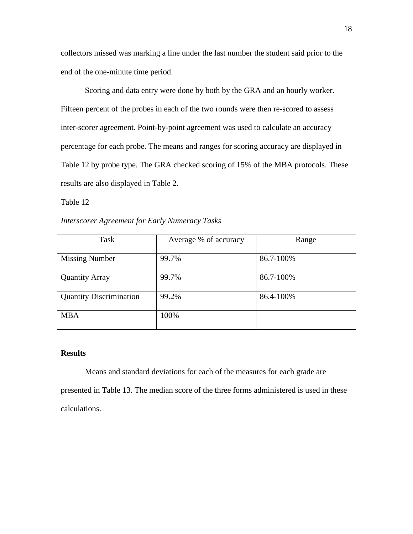collectors missed was marking a line under the last number the student said prior to the end of the one-minute time period.

Scoring and data entry were done by both by the GRA and an hourly worker. Fifteen percent of the probes in each of the two rounds were then re-scored to assess inter-scorer agreement. Point-by-point agreement was used to calculate an accuracy percentage for each probe. The means and ranges for scoring accuracy are displayed in Table 12 by probe type. The GRA checked scoring of 15% of the MBA protocols. These results are also displayed in Table 2.

Table 12

*Interscorer Agreement for Early Numeracy Tasks*

| Task                           | Average % of accuracy | Range     |
|--------------------------------|-----------------------|-----------|
|                                | 99.7%                 | 86.7-100% |
| <b>Missing Number</b>          |                       |           |
| <b>Quantity Array</b>          | 99.7%                 | 86.7-100% |
| <b>Quantity Discrimination</b> | 99.2%                 | 86.4-100% |
| <b>MBA</b>                     | 100%                  |           |

### **Results**

Means and standard deviations for each of the measures for each grade are presented in Table 13. The median score of the three forms administered is used in these calculations.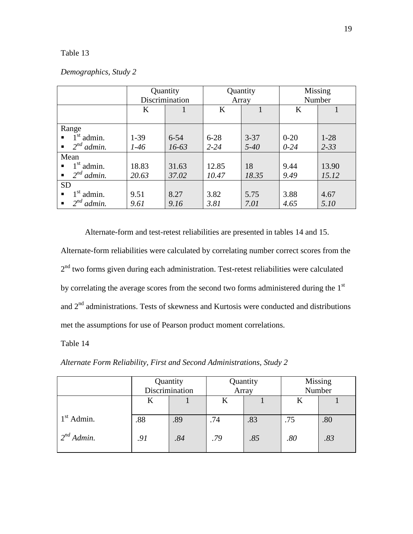|                                   | Quantity       |          | Quantity |          | Missing  |          |
|-----------------------------------|----------------|----------|----------|----------|----------|----------|
|                                   | Discrimination |          | Array    |          | Number   |          |
|                                   | K              |          | K        |          | K        |          |
|                                   |                |          |          |          |          |          |
| Range                             |                |          |          |          |          |          |
| $1st$ admin.<br>$\blacksquare$    | $1-39$         | $6 - 54$ | $6 - 28$ | $3 - 37$ | $0 - 20$ | $1-28$   |
| $2^{nd}$ admin.<br>$\blacksquare$ | $1-46$         | $16-63$  | $2 - 24$ | $5 - 40$ | $0 - 24$ | $2 - 33$ |
| Mean                              |                |          |          |          |          |          |
| $1st$ admin.<br>$\blacksquare$    | 18.83          | 31.63    | 12.85    | 18       | 9.44     | 13.90    |
| $\bullet$ 2 <sup>nd</sup> admin.  | 20.63          | 37.02    | 10.47    | 18.35    | 9.49     | 15.12    |
| <b>SD</b>                         |                |          |          |          |          |          |
| $1st$ admin.<br>$\blacksquare$    | 9.51           | 8.27     | 3.82     | 5.75     | 3.88     | 4.67     |
| $2^{nd}$<br>admin.<br>٠           | 9.61           | 9.16     | 3.81     | 7.01     | 4.65     | 5.10     |

Alternate-form and test-retest reliabilities are presented in tables 14 and 15.

Alternate-form reliabilities were calculated by correlating number correct scores from the 2<sup>nd</sup> two forms given during each administration. Test-retest reliabilities were calculated by correlating the average scores from the second two forms administered during the 1<sup>st</sup> and  $2<sup>nd</sup>$  administrations. Tests of skewness and Kurtosis were conducted and distributions met the assumptions for use of Pearson product moment correlations.

Table 14

*Alternate Form Reliability, First and Second Administrations, Study 2*

|                 | Quantity<br>Discrimination |     | Quantity<br>Array |     | <b>Missing</b><br>Number |     |
|-----------------|----------------------------|-----|-------------------|-----|--------------------------|-----|
|                 | K                          |     | K                 |     |                          |     |
| $1st$ Admin.    | .88                        | .89 | .74               | .83 | .75                      | .80 |
| $2^{nd}$ Admin. | .91                        | .84 | .79               | .85 | .80                      | .83 |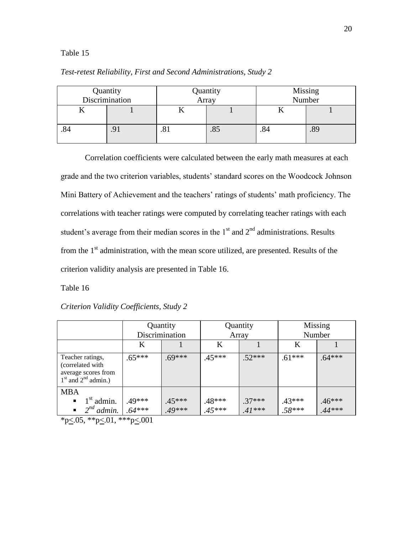### *Test-retest Reliability, First and Second Administrations, Study 2*

|     | Quantity<br>Discrimination |     | Quantity<br>Array | <b>Missing</b><br>Number |     |
|-----|----------------------------|-----|-------------------|--------------------------|-----|
| 1Y  |                            |     |                   |                          |     |
| .84 | .91                        | 0۱. | .0J               | .84                      | .89 |

Correlation coefficients were calculated between the early math measures at each grade and the two criterion variables, students' standard scores on the Woodcock Johnson Mini Battery of Achievement and the teachers' ratings of students' math proficiency. The correlations with teacher ratings were computed by correlating teacher ratings with each student's average from their median scores in the  $1<sup>st</sup>$  and  $2<sup>nd</sup>$  administrations. Results from the  $1<sup>st</sup>$  administration, with the mean score utilized, are presented. Results of the criterion validity analysis are presented in Table 16.

Table 16

|                                                                                        | Quantity<br>Discrimination |          | Quantity<br>Array |          | Missing<br>Number |          |
|----------------------------------------------------------------------------------------|----------------------------|----------|-------------------|----------|-------------------|----------|
|                                                                                        | K                          |          | K                 |          | K                 |          |
| Teacher ratings,<br>(correlated with<br>average scores from<br>$1st$ and $2nd$ admin.) | $.65***$                   | $.69***$ | $.45***$          | $.52***$ | $.61***$          | $.64***$ |
| <b>MBA</b>                                                                             |                            |          |                   |          |                   |          |
| $\blacksquare$ 1 <sup>st</sup> admin.                                                  | .49***                     | $.45***$ | $.48***$          | $.37***$ | .43***            | $.46***$ |
| $2^{nd}$ admin.<br>$\blacksquare$                                                      | $.64***$                   | $.49***$ | $.45***$          | $.41***$ | $.58***$          | $44***$  |

*Criterion Validity Coefficients, Study 2*

\*p $\leq$ .05, \*\*p $\leq$ .01, \*\*\*p $\leq$ .001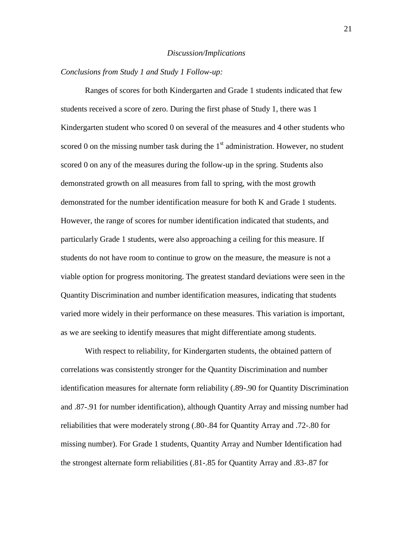#### *Discussion/Implications*

#### *Conclusions from Study 1 and Study 1 Follow-up:*

Ranges of scores for both Kindergarten and Grade 1 students indicated that few students received a score of zero. During the first phase of Study 1, there was 1 Kindergarten student who scored 0 on several of the measures and 4 other students who scored 0 on the missing number task during the  $1<sup>st</sup>$  administration. However, no student scored 0 on any of the measures during the follow-up in the spring. Students also demonstrated growth on all measures from fall to spring, with the most growth demonstrated for the number identification measure for both K and Grade 1 students. However, the range of scores for number identification indicated that students, and particularly Grade 1 students, were also approaching a ceiling for this measure. If students do not have room to continue to grow on the measure, the measure is not a viable option for progress monitoring. The greatest standard deviations were seen in the Quantity Discrimination and number identification measures, indicating that students varied more widely in their performance on these measures. This variation is important, as we are seeking to identify measures that might differentiate among students.

With respect to reliability, for Kindergarten students, the obtained pattern of correlations was consistently stronger for the Quantity Discrimination and number identification measures for alternate form reliability (.89-.90 for Quantity Discrimination and .87-.91 for number identification), although Quantity Array and missing number had reliabilities that were moderately strong (.80-.84 for Quantity Array and .72-.80 for missing number). For Grade 1 students, Quantity Array and Number Identification had the strongest alternate form reliabilities (.81-.85 for Quantity Array and .83-.87 for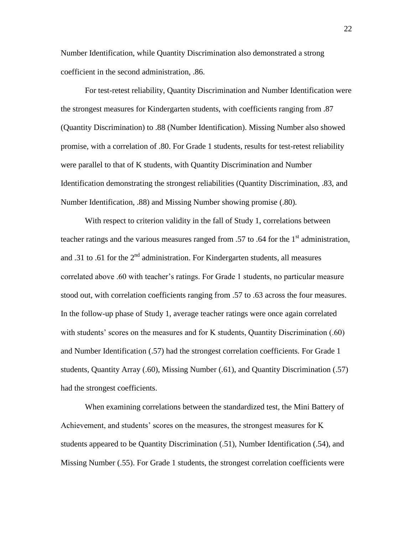Number Identification, while Quantity Discrimination also demonstrated a strong coefficient in the second administration, .86.

For test-retest reliability, Quantity Discrimination and Number Identification were the strongest measures for Kindergarten students, with coefficients ranging from .87 (Quantity Discrimination) to .88 (Number Identification). Missing Number also showed promise, with a correlation of .80. For Grade 1 students, results for test-retest reliability were parallel to that of K students, with Quantity Discrimination and Number Identification demonstrating the strongest reliabilities (Quantity Discrimination, .83, and Number Identification, .88) and Missing Number showing promise (.80).

With respect to criterion validity in the fall of Study 1, correlations between teacher ratings and the various measures ranged from .57 to .64 for the  $1<sup>st</sup>$  administration, and .31 to .61 for the  $2<sup>nd</sup>$  administration. For Kindergarten students, all measures correlated above .60 with teacher's ratings. For Grade 1 students, no particular measure stood out, with correlation coefficients ranging from .57 to .63 across the four measures. In the follow-up phase of Study 1, average teacher ratings were once again correlated with students' scores on the measures and for K students, Quantity Discrimination (.60) and Number Identification (.57) had the strongest correlation coefficients. For Grade 1 students, Quantity Array (.60), Missing Number (.61), and Quantity Discrimination (.57) had the strongest coefficients.

When examining correlations between the standardized test, the Mini Battery of Achievement, and students' scores on the measures, the strongest measures for K students appeared to be Quantity Discrimination (.51), Number Identification (.54), and Missing Number (.55). For Grade 1 students, the strongest correlation coefficients were

22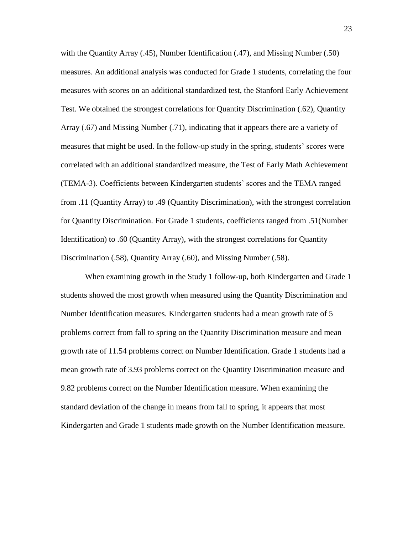with the Quantity Array (.45), Number Identification (.47), and Missing Number (.50) measures. An additional analysis was conducted for Grade 1 students, correlating the four measures with scores on an additional standardized test, the Stanford Early Achievement Test. We obtained the strongest correlations for Quantity Discrimination (.62), Quantity Array (.67) and Missing Number (.71), indicating that it appears there are a variety of measures that might be used. In the follow-up study in the spring, students' scores were correlated with an additional standardized measure, the Test of Early Math Achievement (TEMA-3). Coefficients between Kindergarten students' scores and the TEMA ranged from .11 (Quantity Array) to .49 (Quantity Discrimination), with the strongest correlation for Quantity Discrimination. For Grade 1 students, coefficients ranged from .51(Number Identification) to .60 (Quantity Array), with the strongest correlations for Quantity Discrimination (.58), Quantity Array (.60), and Missing Number (.58).

When examining growth in the Study 1 follow-up, both Kindergarten and Grade 1 students showed the most growth when measured using the Quantity Discrimination and Number Identification measures. Kindergarten students had a mean growth rate of 5 problems correct from fall to spring on the Quantity Discrimination measure and mean growth rate of 11.54 problems correct on Number Identification. Grade 1 students had a mean growth rate of 3.93 problems correct on the Quantity Discrimination measure and 9.82 problems correct on the Number Identification measure. When examining the standard deviation of the change in means from fall to spring, it appears that most Kindergarten and Grade 1 students made growth on the Number Identification measure.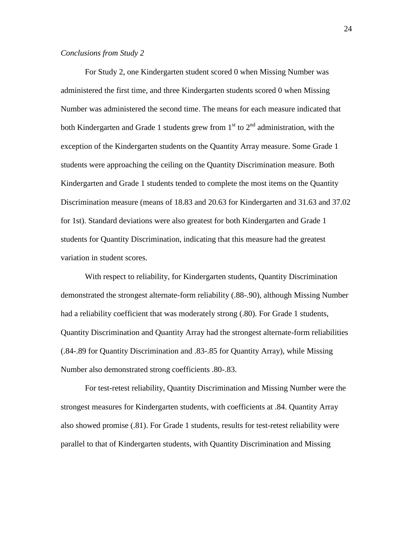#### *Conclusions from Study 2*

For Study 2, one Kindergarten student scored 0 when Missing Number was administered the first time, and three Kindergarten students scored 0 when Missing Number was administered the second time. The means for each measure indicated that both Kindergarten and Grade 1 students grew from  $1<sup>st</sup>$  to  $2<sup>nd</sup>$  administration, with the exception of the Kindergarten students on the Quantity Array measure. Some Grade 1 students were approaching the ceiling on the Quantity Discrimination measure. Both Kindergarten and Grade 1 students tended to complete the most items on the Quantity Discrimination measure (means of 18.83 and 20.63 for Kindergarten and 31.63 and 37.02 for 1st). Standard deviations were also greatest for both Kindergarten and Grade 1 students for Quantity Discrimination, indicating that this measure had the greatest variation in student scores.

With respect to reliability, for Kindergarten students, Quantity Discrimination demonstrated the strongest alternate-form reliability (.88-.90), although Missing Number had a reliability coefficient that was moderately strong (.80). For Grade 1 students, Quantity Discrimination and Quantity Array had the strongest alternate-form reliabilities (.84-.89 for Quantity Discrimination and .83-.85 for Quantity Array), while Missing Number also demonstrated strong coefficients .80-.83.

For test-retest reliability, Quantity Discrimination and Missing Number were the strongest measures for Kindergarten students, with coefficients at .84. Quantity Array also showed promise (.81). For Grade 1 students, results for test-retest reliability were parallel to that of Kindergarten students, with Quantity Discrimination and Missing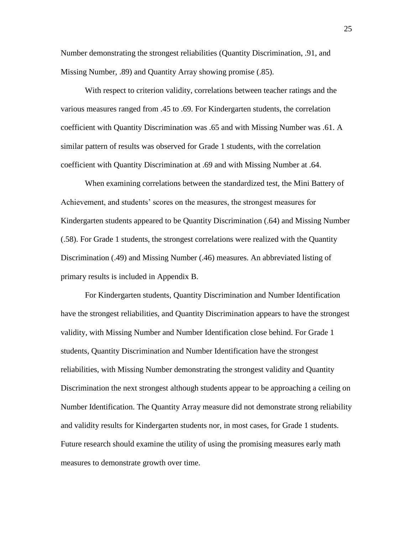Number demonstrating the strongest reliabilities (Quantity Discrimination, .91, and Missing Number, .89) and Quantity Array showing promise (.85).

With respect to criterion validity, correlations between teacher ratings and the various measures ranged from .45 to .69. For Kindergarten students, the correlation coefficient with Quantity Discrimination was .65 and with Missing Number was .61. A similar pattern of results was observed for Grade 1 students, with the correlation coefficient with Quantity Discrimination at .69 and with Missing Number at .64.

When examining correlations between the standardized test, the Mini Battery of Achievement, and students' scores on the measures, the strongest measures for Kindergarten students appeared to be Quantity Discrimination (.64) and Missing Number (.58). For Grade 1 students, the strongest correlations were realized with the Quantity Discrimination (.49) and Missing Number (.46) measures. An abbreviated listing of primary results is included in Appendix B.

For Kindergarten students, Quantity Discrimination and Number Identification have the strongest reliabilities, and Quantity Discrimination appears to have the strongest validity, with Missing Number and Number Identification close behind. For Grade 1 students, Quantity Discrimination and Number Identification have the strongest reliabilities, with Missing Number demonstrating the strongest validity and Quantity Discrimination the next strongest although students appear to be approaching a ceiling on Number Identification. The Quantity Array measure did not demonstrate strong reliability and validity results for Kindergarten students nor, in most cases, for Grade 1 students. Future research should examine the utility of using the promising measures early math measures to demonstrate growth over time.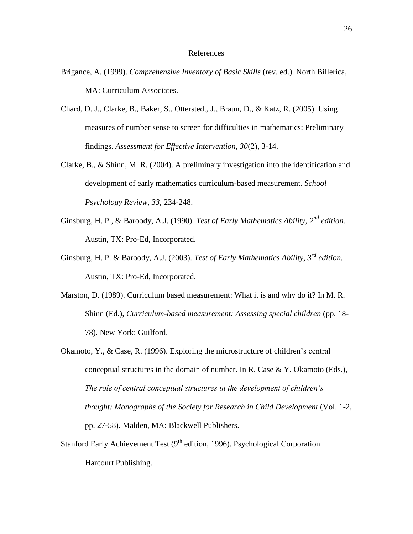#### References

- Brigance, A. (1999). *Comprehensive Inventory of Basic Skills* (rev. ed.). North Billerica, MA: Curriculum Associates.
- Chard, D. J., Clarke, B., Baker, S., Otterstedt, J., Braun, D., & Katz, R. (2005). Using measures of number sense to screen for difficulties in mathematics: Preliminary findings. *Assessment for Effective Intervention, 30*(2), 3-14.
- Clarke, B., & Shinn, M. R. (2004). A preliminary investigation into the identification and development of early mathematics curriculum-based measurement. *School Psychology Review, 33*, 234-248.
- Ginsburg, H. P., & Baroody, A.J. (1990). *Test of Early Mathematics Ability, 2nd edition.* Austin, TX: Pro-Ed, Incorporated.
- Ginsburg, H. P. & Baroody, A.J. (2003). *Test of Early Mathematics Ability, 3rd edition.*  Austin, TX: Pro-Ed, Incorporated.
- Marston, D. (1989). Curriculum based measurement: What it is and why do it? In M. R. Shinn (Ed.), *Curriculum-based measurement: Assessing special children* (pp. 18- 78). New York: Guilford.
- Okamoto, Y., & Case, R. (1996). Exploring the microstructure of children's central conceptual structures in the domain of number. In R. Case  $& Y.$  Okamoto (Eds.), *The role of central conceptual structures in the development of children's thought: Monographs of the Society for Research in Child Development* (Vol. 1-2, pp. 27-58). Malden, MA: Blackwell Publishers.
- Stanford Early Achievement Test  $(9<sup>th</sup>$  edition, 1996). Psychological Corporation. Harcourt Publishing.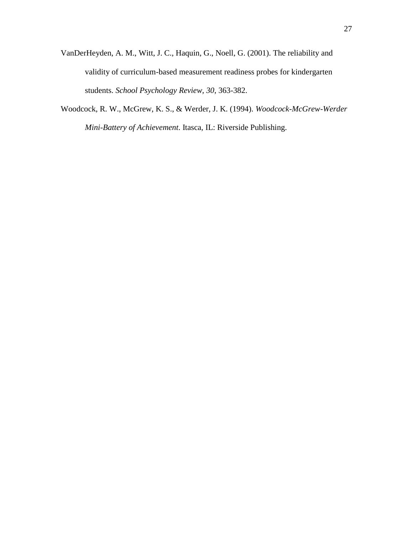- VanDerHeyden, A. M., Witt, J. C., Haquin, G., Noell, G. (2001). The reliability and validity of curriculum-based measurement readiness probes for kindergarten students. *School Psychology Review, 30*, 363-382.
- Woodcock, R. W., McGrew, K. S., & Werder, J. K. (1994). *Woodcock-McGrew-Werder Mini-Battery of Achievement*. Itasca, IL: Riverside Publishing.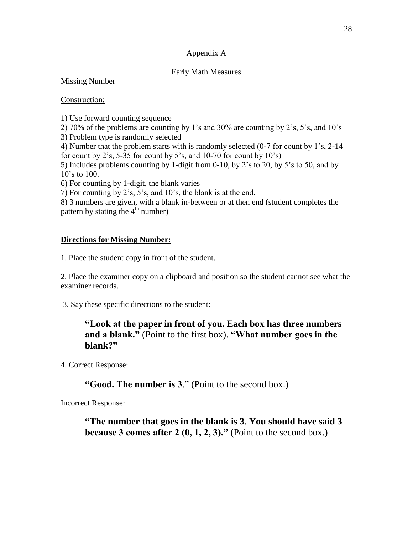### Appendix A

### Early Math Measures

Missing Number

### Construction:

1) Use forward counting sequence

2) 70% of the problems are counting by 1's and 30% are counting by 2's, 5's, and 10's

3) Problem type is randomly selected

4) Number that the problem starts with is randomly selected (0-7 for count by 1's, 2-14 for count by 2's, 5-35 for count by 5's, and  $10-70$  for count by  $10's$ )

5) Includes problems counting by 1-digit from 0-10, by 2's to 20, by 5's to 50, and by 10's to 100.

6) For counting by 1-digit, the blank varies

7) For counting by 2's, 5's, and 10's, the blank is at the end.

8) 3 numbers are given, with a blank in-between or at then end (student completes the pattern by stating the  $4<sup>th</sup>$  number)

### **Directions for Missing Number:**

1. Place the student copy in front of the student.

2. Place the examiner copy on a clipboard and position so the student cannot see what the examiner records.

3. Say these specific directions to the student:

# **"Look at the paper in front of you. Each box has three numbers and a blank."** (Point to the first box). **"What number goes in the blank?"**

4. Correct Response:

# **"Good. The number is 3**." (Point to the second box.)

Incorrect Response:

**"The number that goes in the blank is 3**. **You should have said 3 because 3 comes after 2**  $(0, 1, 2, 3)$ **."** (Point to the second box.)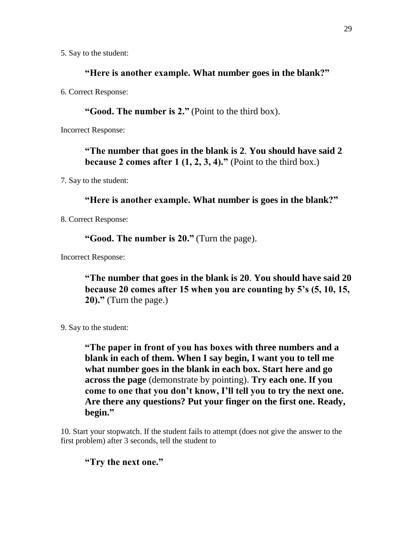5. Say to the student:

### **"Here is another example. What number goes in the blank?"**

6. Correct Response:

**"Good. The number is 2."** (Point to the third box).

Incorrect Response:

**"The number that goes in the blank is 2**. **You should have said 2 because 2 comes after 1**  $(1, 2, 3, 4)$ **.**" (Point to the third box.)

7. Say to the student:

# **"Here is another example. What number is goes in the blank?"**

8. Correct Response:

**"Good. The number is 20."** (Turn the page).

Incorrect Response:

**"The number that goes in the blank is 20**. **You should have said 20 because 20 comes after 15 when you are counting by 5's (5, 10, 15, 20)."** (Turn the page.)

9. Say to the student:

**"The paper in front of you has boxes with three numbers and a blank in each of them. When I say begin, I want you to tell me what number goes in the blank in each box. Start here and go across the page** (demonstrate by pointing). **Try each one. If you come to one that you don't know, I'll tell you to try the next one. Are there any questions? Put your finger on the first one. Ready, begin."**

10. Start your stopwatch. If the student fails to attempt (does not give the answer to the first problem) after 3 seconds, tell the student to

**"Try the next one."**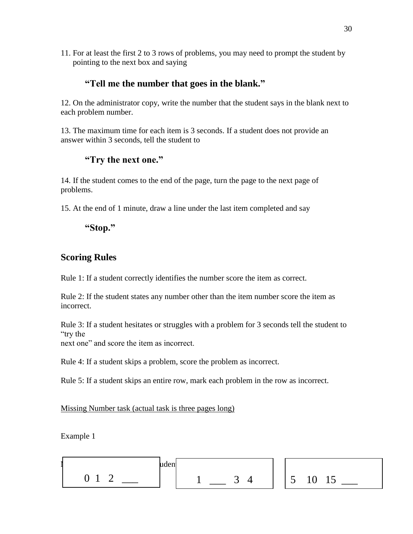11. For at least the first 2 to 3 rows of problems, you may need to prompt the student by pointing to the next box and saying

# **"Tell me the number that goes in the blank."**

12. On the administrator copy, write the number that the student says in the blank next to each problem number.

13. The maximum time for each item is 3 seconds. If a student does not provide an answer within 3 seconds, tell the student to

# **"Try the next one."**

14. If the student comes to the end of the page, turn the page to the next page of problems.

15. At the end of 1 minute, draw a line under the last item completed and say

**"Stop."**

# **Scoring Rules**

Rule 1: If a student correctly identifies the number score the item as correct.

Rule 2: If the student states any number other than the item number score the item as incorrect.

Rule 3: If a student hesitates or struggles with a problem for 3 seconds tell the student to "try the

next one" and score the item as incorrect.

Rule 4: If a student skips a problem, score the problem as incorrect.

Rule 5: If a student skips an entire row, mark each problem in the row as incorrect.

Missing Number task (actual task is three pages long)

Example 1

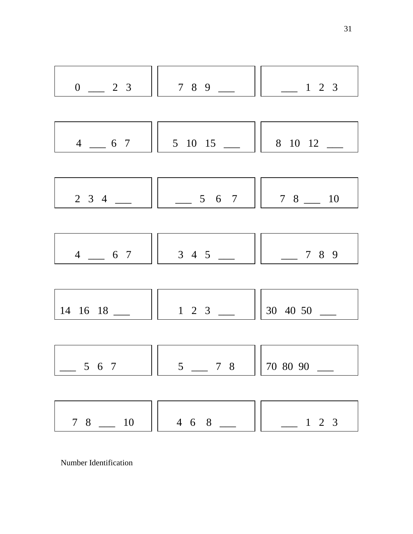

Number Identification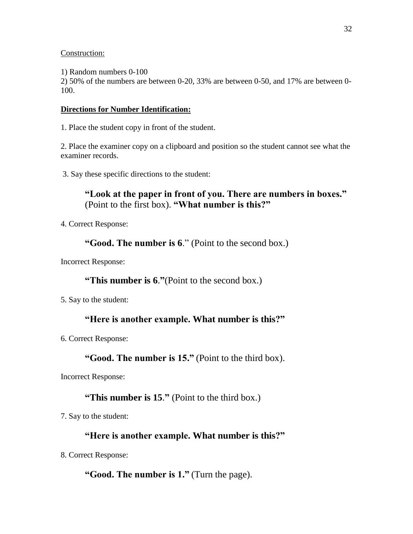### Construction:

1) Random numbers 0-100

2) 50% of the numbers are between 0-20, 33% are between 0-50, and 17% are between 0- 100.

### **Directions for Number Identification:**

1. Place the student copy in front of the student.

2. Place the examiner copy on a clipboard and position so the student cannot see what the examiner records.

3. Say these specific directions to the student:

# **"Look at the paper in front of you. There are numbers in boxes."**  (Point to the first box). **"What number is this?"**

4. Correct Response:

**"Good. The number is 6**." (Point to the second box.)

Incorrect Response:

# **"This number is 6**.**"**(Point to the second box.)

5. Say to the student:

# **"Here is another example. What number is this?"**

6. Correct Response:

# **"Good. The number is 15."** (Point to the third box).

Incorrect Response:

# **"This number is 15**.**"** (Point to the third box.)

7. Say to the student:

# **"Here is another example. What number is this?"**

8. Correct Response:

# **"Good. The number is 1."** (Turn the page).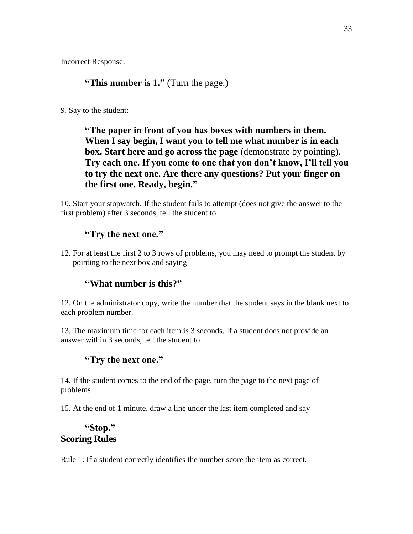Incorrect Response:

# **"This number is 1."** (Turn the page.)

9. Say to the student:

**"The paper in front of you has boxes with numbers in them. When I say begin, I want you to tell me what number is in each box. Start here and go across the page** (demonstrate by pointing). **Try each one. If you come to one that you don't know, I'll tell you to try the next one. Are there any questions? Put your finger on the first one. Ready, begin."**

10. Start your stopwatch. If the student fails to attempt (does not give the answer to the first problem) after 3 seconds, tell the student to

### **"Try the next one."**

12. For at least the first 2 to 3 rows of problems, you may need to prompt the student by pointing to the next box and saying

# **"What number is this?"**

12. On the administrator copy, write the number that the student says in the blank next to each problem number.

13. The maximum time for each item is 3 seconds. If a student does not provide an answer within 3 seconds, tell the student to

### **"Try the next one."**

14. If the student comes to the end of the page, turn the page to the next page of problems.

15. At the end of 1 minute, draw a line under the last item completed and say

# **"Stop." Scoring Rules**

Rule 1: If a student correctly identifies the number score the item as correct.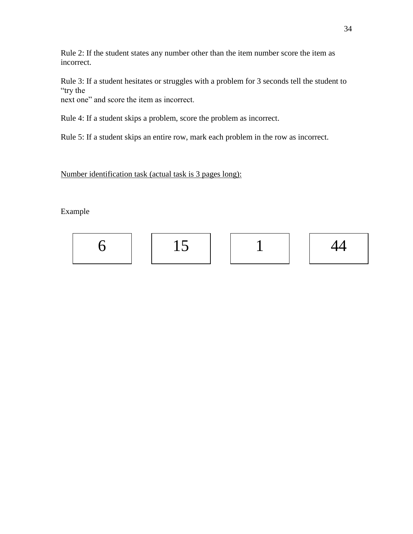Rule 2: If the student states any number other than the item number score the item as incorrect.

Rule 3: If a student hesitates or struggles with a problem for 3 seconds tell the student to "try the

next one" and score the item as incorrect.

Rule 4: If a student skips a problem, score the problem as incorrect.

Rule 5: If a student skips an entire row, mark each problem in the row as incorrect.

Number identification task (actual task is 3 pages long):

Example

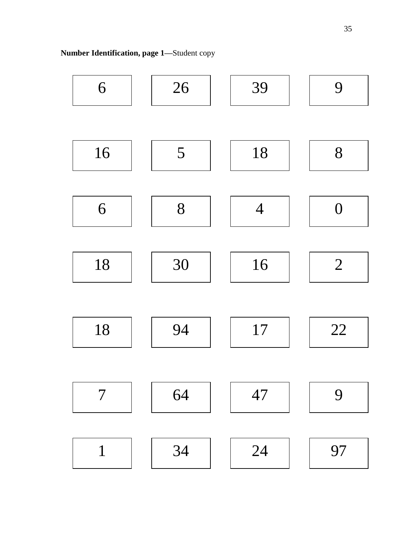**Number Identification, page 1—**Student copy

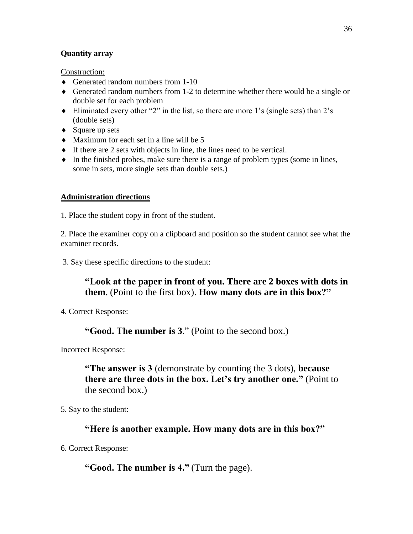### **Quantity array**

Construction:

- Generated random numbers from 1-10
- Generated random numbers from 1-2 to determine whether there would be a single or double set for each problem
- Eliminated every other "2" in the list, so there are more 1's (single sets) than 2's (double sets)
- $\triangleleft$  Square up sets
- Maximum for each set in a line will be 5
- $\bullet$  If there are 2 sets with objects in line, the lines need to be vertical.
- $\bullet$  In the finished probes, make sure there is a range of problem types (some in lines, some in sets, more single sets than double sets.)

### **Administration directions**

1. Place the student copy in front of the student.

2. Place the examiner copy on a clipboard and position so the student cannot see what the examiner records.

3. Say these specific directions to the student:

# **"Look at the paper in front of you. There are 2 boxes with dots in them.** (Point to the first box). **How many dots are in this box?"**

4. Correct Response:

# **"Good. The number is 3**." (Point to the second box.)

Incorrect Response:

**"The answer is 3** (demonstrate by counting the 3 dots), **because there are three dots in the box. Let's try another one."** (Point to the second box.)

5. Say to the student:

# **"Here is another example. How many dots are in this box?"**

6. Correct Response:

**"Good. The number is 4."** (Turn the page).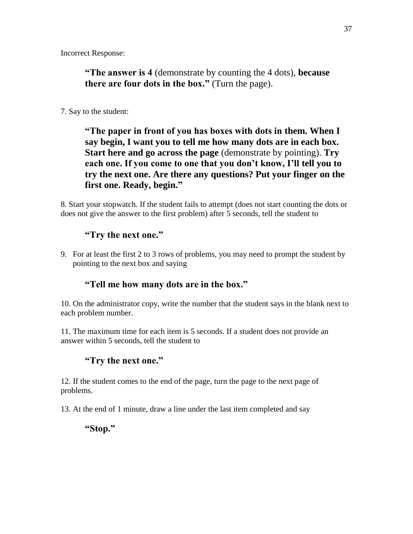Incorrect Response:

**"The answer is 4** (demonstrate by counting the 4 dots), **because there are four dots in the box."** (Turn the page).

### 7. Say to the student:

**"The paper in front of you has boxes with dots in them. When I say begin, I want you to tell me how many dots are in each box. Start here and go across the page** (demonstrate by pointing). **Try each one. If you come to one that you don't know, I'll tell you to try the next one. Are there any questions? Put your finger on the first one. Ready, begin."**

8. Start your stopwatch. If the student fails to attempt (does not start counting the dots or does not give the answer to the first problem) after 5 seconds, tell the student to

# **"Try the next one."**

9. For at least the first 2 to 3 rows of problems, you may need to prompt the student by pointing to the next box and saying

# **"Tell me how many dots are in the box."**

10. On the administrator copy, write the number that the student says in the blank next to each problem number.

11. The maximum time for each item is 5 seconds. If a student does not provide an answer within 5 seconds, tell the student to

# **"Try the next one."**

12. If the student comes to the end of the page, turn the page to the next page of problems.

13. At the end of 1 minute, draw a line under the last item completed and say

# **"Stop."**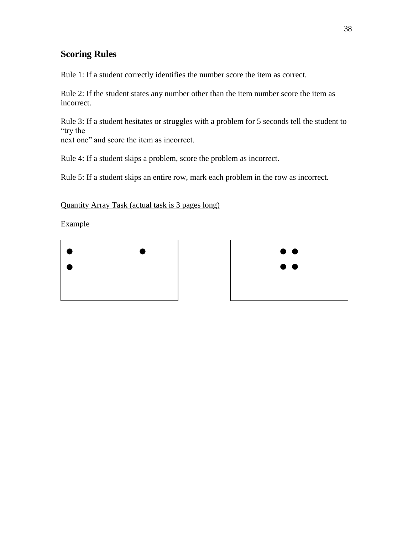# **Scoring Rules**

Rule 1: If a student correctly identifies the number score the item as correct.

Rule 2: If the student states any number other than the item number score the item as incorrect.

Rule 3: If a student hesitates or struggles with a problem for 5 seconds tell the student to "try the

next one" and score the item as incorrect.

Rule 4: If a student skips a problem, score the problem as incorrect.

Rule 5: If a student skips an entire row, mark each problem in the row as incorrect.

Quantity Array Task (actual task is 3 pages long)

Example



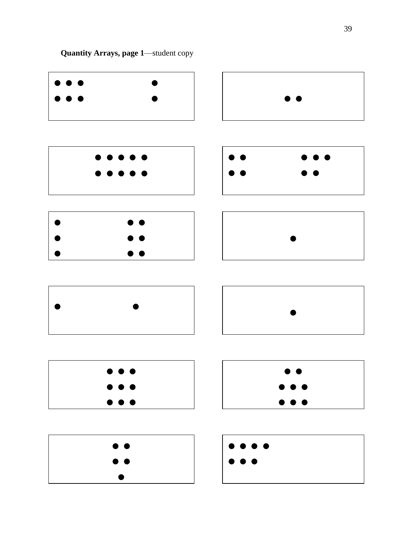**Quantity Arrays, page 1**—student copy

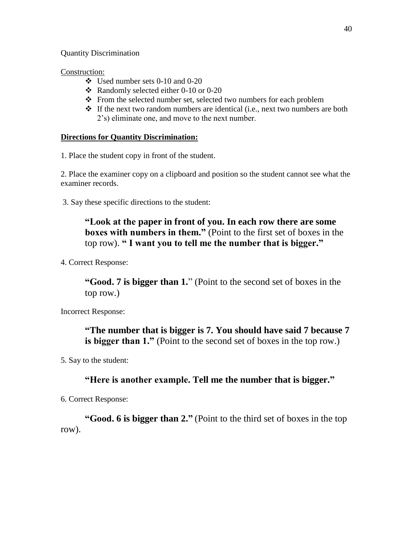Quantity Discrimination

### Construction:

- $\div$  Used number sets 0-10 and 0-20
- Randomly selected either 0-10 or 0-20
- From the selected number set, selected two numbers for each problem
- $\triangle$  If the next two random numbers are identical (i.e., next two numbers are both 2's) eliminate one, and move to the next number.

### **Directions for Quantity Discrimination:**

1. Place the student copy in front of the student.

2. Place the examiner copy on a clipboard and position so the student cannot see what the examiner records.

3. Say these specific directions to the student:

# **"Look at the paper in front of you. In each row there are some boxes with numbers in them."** (Point to the first set of boxes in the top row). **" I want you to tell me the number that is bigger."**

4. Correct Response:

**"Good. 7 is bigger than 1.**" (Point to the second set of boxes in the top row.)

Incorrect Response:

**"The number that is bigger is 7. You should have said 7 because 7 is bigger than 1."** (Point to the second set of boxes in the top row.)

5. Say to the student:

# **"Here is another example. Tell me the number that is bigger."**

6. Correct Response:

**"Good. 6 is bigger than 2."** (Point to the third set of boxes in the top row).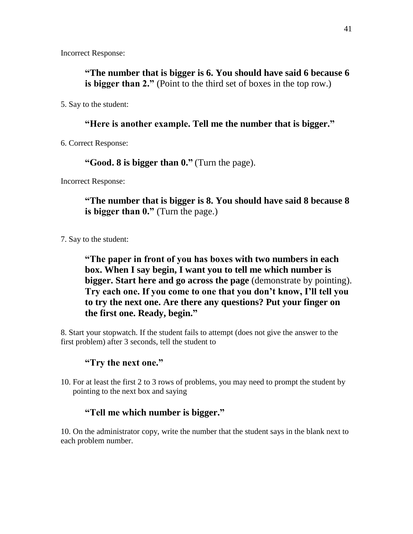Incorrect Response:

**"The number that is bigger is 6. You should have said 6 because 6 is bigger than 2."** (Point to the third set of boxes in the top row.)

5. Say to the student:

# **"Here is another example. Tell me the number that is bigger."**

6. Correct Response:

**"Good. 8 is bigger than 0."** (Turn the page).

Incorrect Response:

**"The number that is bigger is 8. You should have said 8 because 8 is bigger than 0."** (Turn the page.)

7. Say to the student:

**"The paper in front of you has boxes with two numbers in each box. When I say begin, I want you to tell me which number is bigger. Start here and go across the page** (demonstrate by pointing). **Try each one. If you come to one that you don't know, I'll tell you to try the next one. Are there any questions? Put your finger on the first one. Ready, begin."**

8. Start your stopwatch. If the student fails to attempt (does not give the answer to the first problem) after 3 seconds, tell the student to

# **"Try the next one."**

10. For at least the first 2 to 3 rows of problems, you may need to prompt the student by pointing to the next box and saying

# **"Tell me which number is bigger."**

10. On the administrator copy, write the number that the student says in the blank next to each problem number.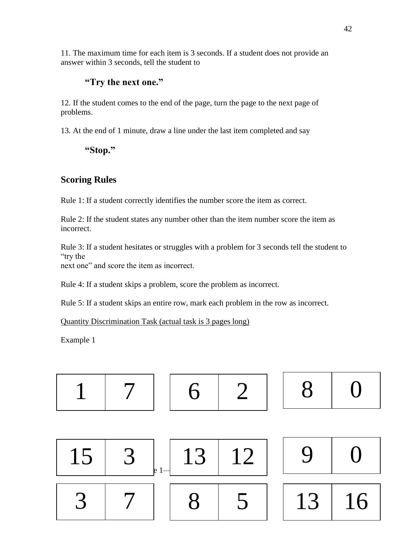11. The maximum time for each item is 3 seconds. If a student does not provide an answer within 3 seconds, tell the student to

# **"Try the next one."**

12. If the student comes to the end of the page, turn the page to the next page of problems.

13. At the end of 1 minute, draw a line under the last item completed and say

**"Stop."**

# **Scoring Rules**

Rule 1: If a student correctly identifies the number score the item as correct.

Rule 2: If the student states any number other than the item number score the item as incorrect.

Rule 3: If a student hesitates or struggles with a problem for 3 seconds tell the student to "try the

next one" and score the item as incorrect.

Rule 4: If a student skips a problem, score the problem as incorrect.

Rule 5: If a student skips an entire row, mark each problem in the row as incorrect.

Quantity Discrimination Task (actual task is 3 pages long)

Example 1

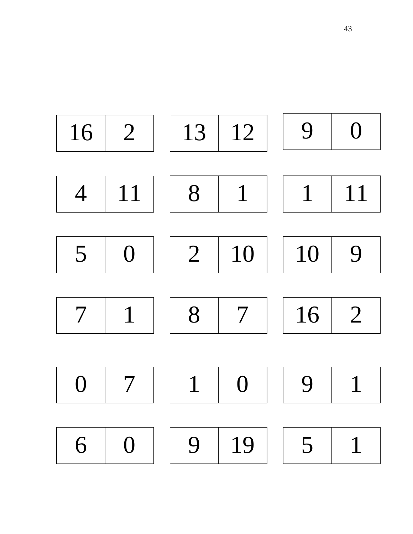